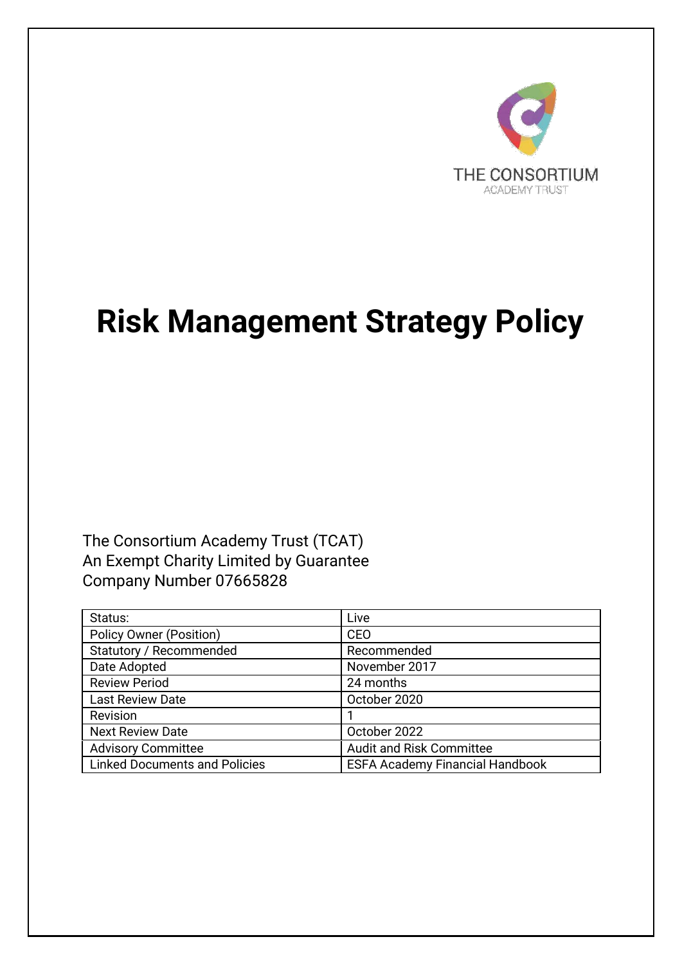

# **Risk Management Strategy Policy**

The Consortium Academy Trust (TCAT) An Exempt Charity Limited by Guarantee Company Number 07665828

| Status:                              | Live                                   |
|--------------------------------------|----------------------------------------|
| <b>Policy Owner (Position)</b>       | <b>CEO</b>                             |
| Statutory / Recommended              | Recommended                            |
| Date Adopted                         | November 2017                          |
| <b>Review Period</b>                 | 24 months                              |
| <b>Last Review Date</b>              | October 2020                           |
| Revision                             |                                        |
| <b>Next Review Date</b>              | October 2022                           |
| <b>Advisory Committee</b>            | <b>Audit and Risk Committee</b>        |
| <b>Linked Documents and Policies</b> | <b>ESFA Academy Financial Handbook</b> |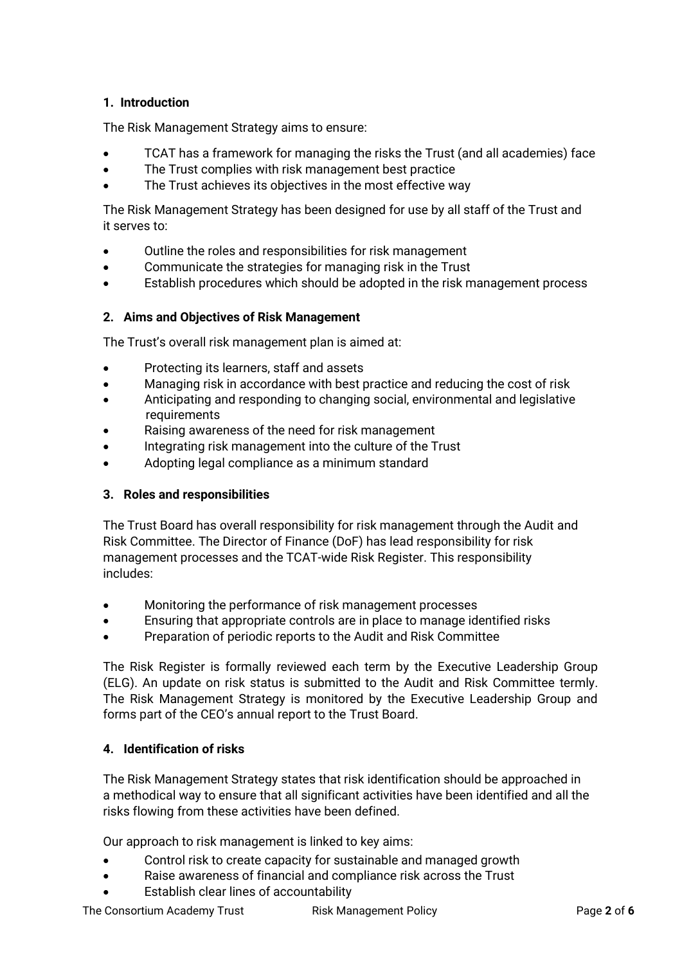# **1. Introduction**

The Risk Management Strategy aims to ensure:

- TCAT has a framework for managing the risks the Trust (and all academies) face
- The Trust complies with risk management best practice
- The Trust achieves its objectives in the most effective way

The Risk Management Strategy has been designed for use by all staff of the Trust and it serves to:

- Outline the roles and responsibilities for risk management
- Communicate the strategies for managing risk in the Trust
- Establish procedures which should be adopted in the risk management process

# **2. Aims and Objectives of Risk Management**

The Trust's overall risk management plan is aimed at:

- Protecting its learners, staff and assets
- Managing risk in accordance with best practice and reducing the cost of risk
- Anticipating and responding to changing social, environmental and legislative requirements
- Raising awareness of the need for risk management
- Integrating risk management into the culture of the Trust
- Adopting legal compliance as a minimum standard

# **3. Roles and responsibilities**

The Trust Board has overall responsibility for risk management through the Audit and Risk Committee. The Director of Finance (DoF) has lead responsibility for risk management processes and the TCAT-wide Risk Register. This responsibility includes:

- Monitoring the performance of risk management processes
- Ensuring that appropriate controls are in place to manage identified risks
- Preparation of periodic reports to the Audit and Risk Committee

The Risk Register is formally reviewed each term by the Executive Leadership Group (ELG). An update on risk status is submitted to the Audit and Risk Committee termly. The Risk Management Strategy is monitored by the Executive Leadership Group and forms part of the CEO's annual report to the Trust Board.

# **4. Identification of risks**

The Risk Management Strategy states that risk identification should be approached in a methodical way to ensure that all significant activities have been identified and all the risks flowing from these activities have been defined.

Our approach to risk management is linked to key aims:

- Control risk to create capacity for sustainable and managed growth
- Raise awareness of financial and compliance risk across the Trust
- Establish clear lines of accountability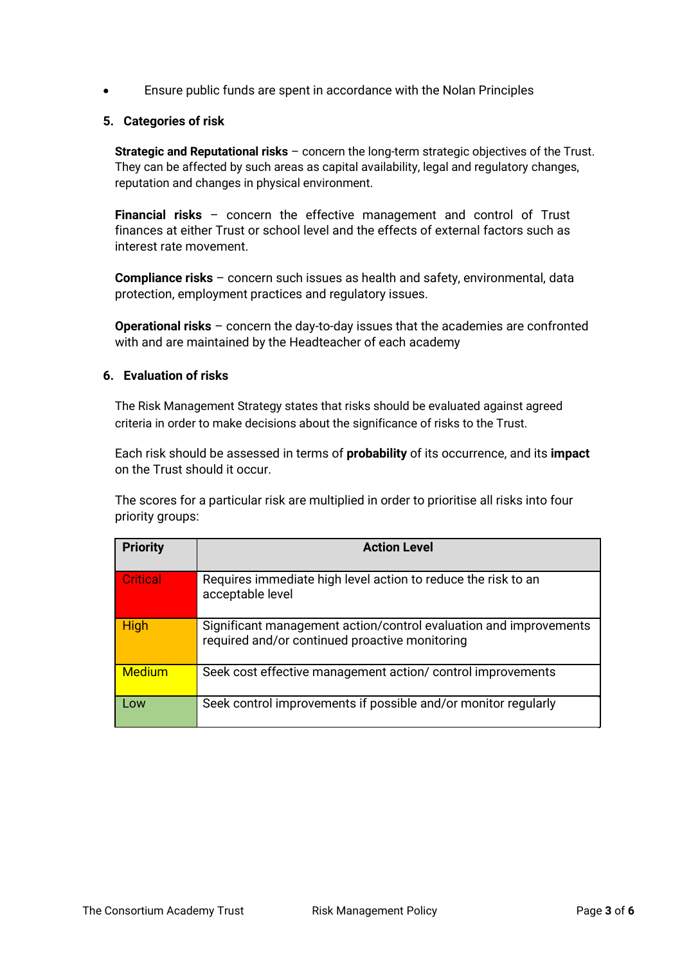• Ensure public funds are spent in accordance with the Nolan Principles

### **5. Categories of risk**

**Strategic and Reputational risks** – concern the long-term strategic objectives of the Trust. They can be affected by such areas as capital availability, legal and regulatory changes, reputation and changes in physical environment.

**Financial risks** – concern the effective management and control of Trust finances at either Trust or school level and the effects of external factors such as interest rate movement.

**Compliance risks** – concern such issues as health and safety, environmental, data protection, employment practices and regulatory issues.

**Operational risks** – concern the day-to-day issues that the academies are confronted with and are maintained by the Headteacher of each academy

## **6. Evaluation of risks**

The Risk Management Strategy states that risks should be evaluated against agreed criteria in order to make decisions about the significance of risks to the Trust.

Each risk should be assessed in terms of **probability** of its occurrence, and its **impact** on the Trust should it occur.

The scores for a particular risk are multiplied in order to prioritise all risks into four priority groups:

| <b>Priority</b> | <b>Action Level</b>                                                                                                 |
|-----------------|---------------------------------------------------------------------------------------------------------------------|
| <b>Critical</b> | Requires immediate high level action to reduce the risk to an<br>acceptable level                                   |
| High            | Significant management action/control evaluation and improvements<br>required and/or continued proactive monitoring |
| <b>Medium</b>   | Seek cost effective management action/ control improvements                                                         |
| Low             | Seek control improvements if possible and/or monitor regularly                                                      |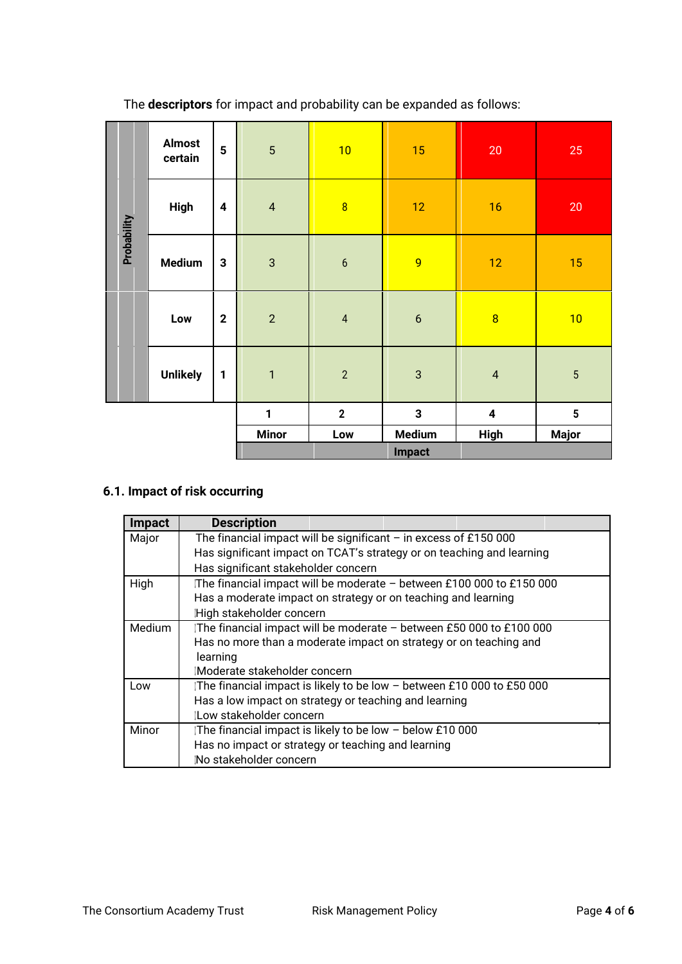|             | <b>Almost</b><br>certain | $5\phantom{a}$   | 5                       | 10              | 15               | $20\,$                  | 25                      |
|-------------|--------------------------|------------------|-------------------------|-----------------|------------------|-------------------------|-------------------------|
|             | <b>High</b>              | $\boldsymbol{4}$ | $\overline{\mathbf{4}}$ | $\overline{8}$  | 12               | 16                      | 20                      |
| Probability | <b>Medium</b>            | $\mathbf{3}$     | $\mathbf{3}$            | $6\phantom{1}6$ | $\overline{9}$   | 12                      | 15                      |
|             | Low                      | $\mathbf{2}$     | $\overline{2}$          | $\sqrt{4}$      | $\boldsymbol{6}$ | $\overline{8}$          | 10                      |
|             | <b>Unlikely</b>          | $\mathbf{1}$     | $\mathbf{1}$            | $\overline{2}$  | $\sqrt{3}$       | $\pmb{4}$               | $\overline{5}$          |
|             |                          |                  | 1                       | $\overline{2}$  | $\mathbf{3}$     | $\overline{\mathbf{4}}$ | $\overline{\mathbf{5}}$ |
|             |                          |                  | <b>Minor</b>            | Low             | <b>Medium</b>    | <b>High</b>             | <b>Major</b>            |
|             |                          |                  |                         |                 | <b>Impact</b>    |                         |                         |

The **descriptors** for impact and probability can be expanded as follows:

# **6.1. Impact of risk occurring**

| <b>Impact</b> | <b>Description</b>                                                     |  |  |  |
|---------------|------------------------------------------------------------------------|--|--|--|
| Major         | The financial impact will be significant $-$ in excess of £150 000     |  |  |  |
|               | Has significant impact on TCAT's strategy or on teaching and learning  |  |  |  |
|               | Has significant stakeholder concern                                    |  |  |  |
| High          | The financial impact will be moderate - between £100 000 to £150 000   |  |  |  |
|               | Has a moderate impact on strategy or on teaching and learning          |  |  |  |
|               | High stakeholder concern                                               |  |  |  |
| <b>Medium</b> | The financial impact will be moderate - between £50 000 to £100 000    |  |  |  |
|               | Has no more than a moderate impact on strategy or on teaching and      |  |  |  |
|               | learning                                                               |  |  |  |
|               | Moderate stakeholder concern                                           |  |  |  |
| Low           | IThe financial impact is likely to be low − between £10 000 to £50 000 |  |  |  |
|               | Has a low impact on strategy or teaching and learning                  |  |  |  |
|               | (Low stakeholder concern                                               |  |  |  |
| Minor         | The financial impact is likely to be low - below £10 000               |  |  |  |
|               | Has no impact or strategy or teaching and learning                     |  |  |  |
|               | No stakeholder concern                                                 |  |  |  |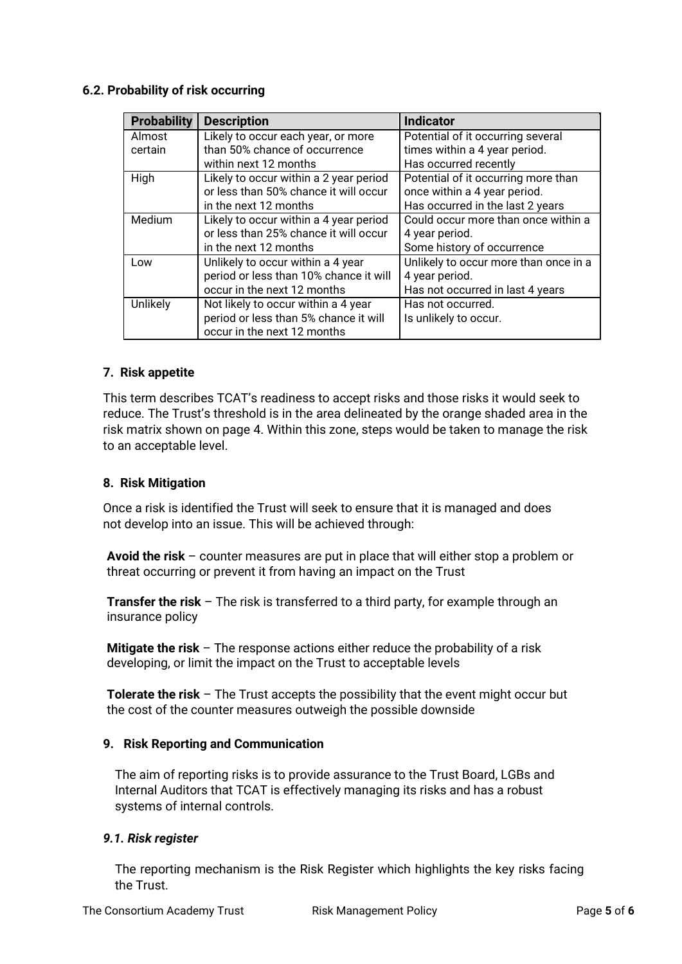## **6.2. Probability of risk occurring**

| <b>Probability</b> | <b>Description</b>                     | <b>Indicator</b>                      |
|--------------------|----------------------------------------|---------------------------------------|
| Almost             | Likely to occur each year, or more     | Potential of it occurring several     |
| certain            | than 50% chance of occurrence          | times within a 4 year period.         |
|                    | within next 12 months                  | Has occurred recently                 |
| High               | Likely to occur within a 2 year period | Potential of it occurring more than   |
|                    | or less than 50% chance it will occur  | once within a 4 year period.          |
|                    | in the next 12 months                  | Has occurred in the last 2 years      |
| Medium             | Likely to occur within a 4 year period | Could occur more than once within a   |
|                    | or less than 25% chance it will occur  | 4 year period.                        |
|                    | in the next 12 months                  | Some history of occurrence            |
| Low                | Unlikely to occur within a 4 year      | Unlikely to occur more than once in a |
|                    | period or less than 10% chance it will | 4 year period.                        |
|                    | occur in the next 12 months            | Has not occurred in last 4 years      |
| Unlikely           | Not likely to occur within a 4 year    | Has not occurred.                     |
|                    | period or less than 5% chance it will  | Is unlikely to occur.                 |
|                    | occur in the next 12 months            |                                       |

#### **7. Risk appetite**

This term describes TCAT's readiness to accept risks and those risks it would seek to reduce. The Trust's threshold is in the area delineated by the orange shaded area in the risk matrix shown on page 4. Within this zone, steps would be taken to manage the risk to an acceptable level.

#### **8. Risk Mitigation**

Once a risk is identified the Trust will seek to ensure that it is managed and does not develop into an issue. This will be achieved through:

**Avoid the risk** – counter measures are put in place that will either stop a problem or threat occurring or prevent it from having an impact on the Trust

**Transfer the risk** – The risk is transferred to a third party, for example through an insurance policy

**Mitigate the risk** – The response actions either reduce the probability of a risk developing, or limit the impact on the Trust to acceptable levels

**Tolerate the risk** – The Trust accepts the possibility that the event might occur but the cost of the counter measures outweigh the possible downside

#### **9. Risk Reporting and Communication**

The aim of reporting risks is to provide assurance to the Trust Board, LGBs and Internal Auditors that TCAT is effectively managing its risks and has a robust systems of internal controls.

#### *9.1. Risk register*

The reporting mechanism is the Risk Register which highlights the key risks facing the Trust.